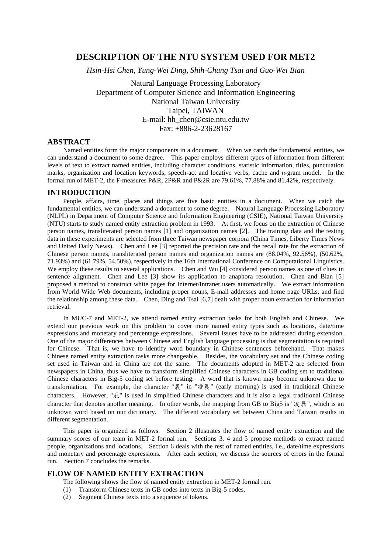# **DESCRIPTION OF THE NTU SYSTEM USED FOR MET2**

*Hsin-Hsi Chen, Yung-Wei Ding, Shih-Chung Tsai and Guo-Wei Bian*

Natural Language Processing Laboratory Department of Computer Science and Information Engineering National Taiwan University Taipei, TAIWAN E-mail: hh\_chen@csie.ntu.edu.tw Fax: +886-2-23628167

## **ABSTRACT**

Named entities form the major components in a document. When we catch the fundamental entities, we can understand a document to some degree. This paper employs different types of information from different levels of text to extract named entities, including character conditions, statistic information, titles, punctuation marks, organization and location keywords, speech-act and locative verbs, cache and *n*-gram model. In the formal run of MET-2, the F-measures P&R, 2P&R and P&2R are 79.61%, 77.88% and 81.42%, respectively.

### **INTRODUCTION**

People, affairs, time, places and things are five basic entities in a document. When we catch the fundamental entities, we can understand a document to some degree. Natural Language Processing Laboratory (NLPL) in Department of Computer Science and Information Engineering (CSIE), National Taiwan University (NTU) starts to study named entity extraction problem in 1993. At first, we focus on the extraction of Chinese person names, transliterated person names [1] and organization names [2]. The training data and the testing data in these experiments are selected from three Taiwan newspaper corpora (China Times, Liberty Times News and United Daily News). Chen and Lee [3] reported the precision rate and the recall rate for the extraction of Chinese person names, transliterated person names and organization names are (88.04%, 92.56%), (50.62%, 71.93%) and (61.79%, 54.50%), respectively in the 16th International Conference on Computational Linguistics. We employ these results to several applications. Chen and Wu [4] considered person names as one of clues in sentence alignment. Chen and Lee [3] show its application to anaphora resolution. Chen and Bian [5] proposed a method to construct white pages for Internet/Intranet users automatically. We extract information from World Wide Web documents, including proper nouns, E-mail addresses and home page URLs, and find the relationship among these data. Chen, Ding and Tsai [6,7] dealt with proper noun extraction for information retrieval.

In MUC-7 and MET-2, we attend named entity extraction tasks for both English and Chinese. We extend our previous work on this problem to cover more named entity types such as locations, date/time expressions and monetary and percentage expressions. Several issues have to be addressed during extension. One of the major differences between Chinese and English language processing is that segmentation is required for Chinese. That is, we have to identify word boundary in Chinese sentences beforehand. That makes Chinese named entity extraction tasks more changeable. Besides, the vocabulary set and the Chinese coding set used in Taiwan and in China are not the same. The documents adopted in MET-2 are selected from newspapers in China, thus we have to transform simplified Chinese characters in GB coding set to traditional Chinese characters in Big-5 coding set before testing. A word that is known may become unknown due to transformation. For example, the character " $\frac{1}{6}$ " in " $\frac{1}{6}$ " (early morning) is used in traditional Chinese characters. However, "辰" is used in simplified Chinese characters and it is also a legal traditional Chinese character that denotes another meaning. In other words, the mapping from GB to Big5 is " $\bar{\mathcal{R}}$   $\mathbb{R}$ ", which is an unknown word based on our dictionary. The different vocabulary set between China and Taiwan results in different segmentation.

This paper is organized as follows. Section 2 illustrates the flow of named entity extraction and the summary scores of our team in MET-2 formal run. Sections 3, 4 and 5 propose methods to extract named people, organizations and locations. Section 6 deals with the rest of named entities, i.e., date/time expressions and monetary and percentage expressions. After each section, we discuss the sources of errors in the formal run. Section 7 concludes the remarks.

## **FLOW OF NAMED ENTITY EXTRACTION**

- The following shows the flow of named entity extraction in MET-2 formal run.
- (1) Transform Chinese texts in GB codes into texts in Big-5 codes.
- (2) Segment Chinese texts into a sequence of tokens.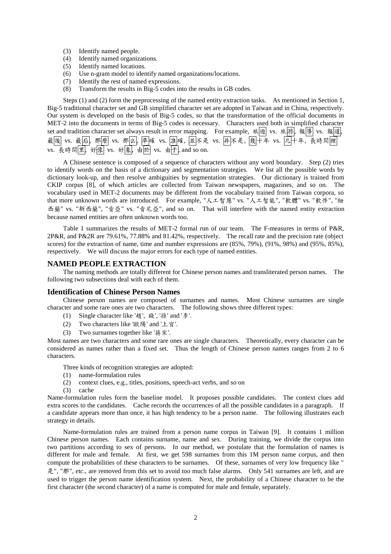- (3) Identify named people.
- (4) Identify named organizations.
- (5) Identify named locations.
- (6) Use n-gram model to identify named organizations/locations.
- (7) Identify the rest of named expressions.
- (8) Transform the results in Big-5 codes into the results in GB codes.

Steps (1) and (2) form the preprocessing of the named entity extraction tasks. As mentioned in Section 1, Big-5 traditional character set and GB simplified character set are adopted in Taiwan and in China, respectively. Our system is developed on the basis of Big-5 codes, so that the transformation of the official documents in MET-2 into the documents in terms of Big-5 codes is necessary. Characters used both in simplified character set and tradition character set always result in error mapping. For example, 旅随 vs. 旅游, 報導 vs. 報道, 最後| vs. 最后|, 那麼| vs. 那么|, 準|確 vs. 准|確, |並|不是 vs. |并|不是, |幾|十年 vs. |几|十年, 長時間|裡 vs. 長時間里, 好像 vs. 好象, 由於 vs. 由于, and so on.

A Chinese sentence is composed of a sequence of characters without any word boundary. Step (2) tries to identify words on the basis of a dictionary and segmentation strategies. We list all the possible words by dictionary look-up, and then resolve ambiguities by segmentation strategies. Our dictionary is trained from CKIP corpus [8], of which articles are collected from Taiwan newspapers, magazines, and so on. The vocabulary used in MET-2 documents may be different from the vocabulary trained from Taiwan corpora, so that more unknown words are introduced. For example, "人工智慧" vs. "人工智能", "軟體" vs. "軟件", "紐 西蘭" vs. "新西蘭", "肯亞" vs. "肯尼亞", and so on. That will interfere with the named entity extraction because named entities are often unknown words too.

Table 1 summarizes the results of MET-2 formal run of our team. The F-measures in terms of P&R, 2P&R, and P&2R are 79.61%, 77.88% and 81.42%, respectively. The recall rate and the precision rate (object scores) for the extraction of name, time and number expressions are (85%, 79%), (91%, 98%) and (95%, 85%), respectively. We will discuss the major errors for each type of named entities.

#### **NAMED PEOPLE EXTRACTION**

The naming methods are totally different for Chinese person names and transliterated person names. The following two subsections deal with each of them.

#### **Identification of Chinese Person Names**

Chinese person names are composed of surnames and names. Most Chinese surnames are single character and some rare ones are two characters. The following shows three different types:

- (1) Single character like '趟', 錢', '孫' and ' $\ddot{\hat{\Sigma}}$ '.
- (2) Two characters like '歐陽' and '上官'.
- (3) Two surnames together like ' $\frac{3}{7}$   $\frac{1}{7}$ .

Most names are two characters and some rare ones are single characters. Theoretically, every character can be considered as names rather than a fixed set. Thus the length of Chinese person names ranges from 2 to 6 characters.

Three kinds of recognition strategies are adopted:

- (1) name-formulation rules
- (2) context clues, e.g., titles, positions, speech-act verbs, and so on
- (3) cache

Name-formulation rules form the baseline model. It proposes possible candidates. The context clues add extra scores to the candidates. Cache records the occurrences of all the possible candidates in a paragraph. If a candidate appears more than once, it has high tendency to be a person name. The following illustrates each strategy in details.

Name-formulation rules are trained from a person name corpus in Taiwan [9]. It contains 1 million Chinese person names. Each contains surname, name and sex. During training, we divide the corpus into two partitions according to sex of persons. In our method, we postulate that the formulation of names is different for male and female. At first, we get 598 surnames from this 1M person name corpus, and then compute the probabilities of these characters to be surnames. Of these, surnames of very low frequency like " y", "N", *etc*., are removed from this set to avoid too much false alarms. Only 541 surnames are left, and are used to trigger the person name identification system. Next, the probability of a Chinese character to be the first character (the second character) of a name is computed for male and female, separately.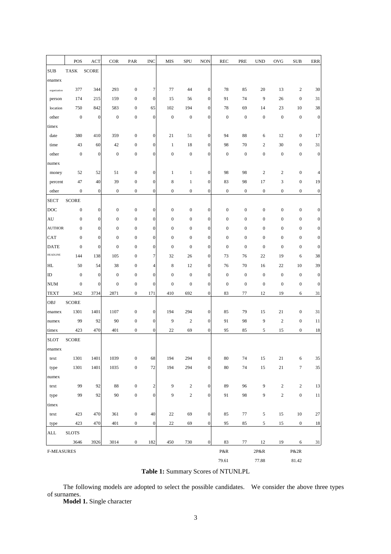|                   | POS              | ACT              | <b>COR</b>       | PAR              | <b>INC</b>       | MIS              | SPU              | <b>NON</b>       | <b>REC</b>       | PRE              | <b>UND</b>       | OVG              | <b>SUB</b>       | ERR              |
|-------------------|------------------|------------------|------------------|------------------|------------------|------------------|------------------|------------------|------------------|------------------|------------------|------------------|------------------|------------------|
| <b>SUB</b>        | <b>TASK</b>      | <b>SCORE</b>     |                  |                  |                  |                  |                  |                  |                  |                  |                  |                  |                  |                  |
| enamex            |                  |                  |                  |                  |                  |                  |                  |                  |                  |                  |                  |                  |                  |                  |
| organization      | 377              | 344              | 293              | $\boldsymbol{0}$ | 7                | 77               | 44               | $\mathbf{0}$     | 78               | 85               | 20               | 13               | $\sqrt{2}$       | 30               |
| person            | 174              | 215              | 159              | $\boldsymbol{0}$ | $\boldsymbol{0}$ | 15               | 56               | $\mathbf{0}$     | 91               | 74               | 9                | 26               | $\boldsymbol{0}$ | 31               |
| location          | 750              | 842              | 583              | $\boldsymbol{0}$ | 65               | 102              | 194              | $\mathbf{0}$     | 78               | 69               | 14               | 23               | 10               | 38               |
|                   | $\boldsymbol{0}$ |                  | $\boldsymbol{0}$ | $\boldsymbol{0}$ | $\boldsymbol{0}$ | $\boldsymbol{0}$ | $\boldsymbol{0}$ | $\boldsymbol{0}$ | $\mathbf{0}$     | $\boldsymbol{0}$ | $\boldsymbol{0}$ | $\boldsymbol{0}$ | $\boldsymbol{0}$ | $\boldsymbol{0}$ |
| other             |                  | $\boldsymbol{0}$ |                  |                  |                  |                  |                  |                  |                  |                  |                  |                  |                  |                  |
| timex             |                  |                  |                  |                  |                  |                  |                  |                  |                  |                  |                  |                  |                  |                  |
| date              | 380              | 410              | 359              | $\boldsymbol{0}$ | $\boldsymbol{0}$ | 21               | 51               | $\mathbf{0}$     | 94               | 88               | 6                | 12               | $\boldsymbol{0}$ | 17               |
| time              | 43               | 60               | 42               | $\boldsymbol{0}$ | $\boldsymbol{0}$ | $\mathbf{1}$     | 18               | $\boldsymbol{0}$ | 98               | 70               | $\overline{2}$   | 30               | $\boldsymbol{0}$ | 31               |
| other             | $\mathbf{0}$     | $\boldsymbol{0}$ | $\mathbf{0}$     | $\boldsymbol{0}$ | $\boldsymbol{0}$ | $\boldsymbol{0}$ | $\boldsymbol{0}$ | $\mathbf{0}$     | $\boldsymbol{0}$ | $\boldsymbol{0}$ | $\boldsymbol{0}$ | $\boldsymbol{0}$ | $\boldsymbol{0}$ | $\boldsymbol{0}$ |
| numex             |                  |                  |                  |                  |                  |                  |                  |                  |                  |                  |                  |                  |                  |                  |
| money             | 52               | 52               | 51               | $\boldsymbol{0}$ | $\boldsymbol{0}$ | 1                | 1                | $\mathbf{0}$     | 98               | 98               | $\boldsymbol{2}$ | $\overline{c}$   | $\boldsymbol{0}$ | $\overline{4}$   |
| percent           | 47               | 40               | 39               | $\boldsymbol{0}$ | $\boldsymbol{0}$ | 8                | $\mathbf{1}$     | $\mathbf{0}$     | 83               | 98               | 17               | 3                | $\boldsymbol{0}$ | 19               |
| other             | $\boldsymbol{0}$ | $\boldsymbol{0}$ | $\boldsymbol{0}$ | $\boldsymbol{0}$ | $\boldsymbol{0}$ | $\boldsymbol{0}$ | $\boldsymbol{0}$ | $\mathbf{0}$     | $\boldsymbol{0}$ | $\boldsymbol{0}$ | $\boldsymbol{0}$ | $\boldsymbol{0}$ | $\boldsymbol{0}$ | $\boldsymbol{0}$ |
| <b>SECT</b>       | <b>SCORE</b>     |                  |                  |                  |                  |                  |                  |                  |                  |                  |                  |                  |                  |                  |
| DOC               | $\boldsymbol{0}$ | $\boldsymbol{0}$ | $\boldsymbol{0}$ | $\boldsymbol{0}$ | 0                | $\boldsymbol{0}$ | $\boldsymbol{0}$ | $\boldsymbol{0}$ | $\boldsymbol{0}$ | $\boldsymbol{0}$ | $\boldsymbol{0}$ | $\boldsymbol{0}$ | $\boldsymbol{0}$ | $\boldsymbol{0}$ |
| AU                | $\boldsymbol{0}$ | $\boldsymbol{0}$ | $\boldsymbol{0}$ | $\boldsymbol{0}$ | $\boldsymbol{0}$ | $\boldsymbol{0}$ | $\boldsymbol{0}$ | $\boldsymbol{0}$ | $\boldsymbol{0}$ | $\boldsymbol{0}$ | $\boldsymbol{0}$ | $\boldsymbol{0}$ | $\boldsymbol{0}$ | $\boldsymbol{0}$ |
| <b>AUTHOR</b>     | $\boldsymbol{0}$ | $\boldsymbol{0}$ | $\boldsymbol{0}$ | $\boldsymbol{0}$ | $\boldsymbol{0}$ | $\boldsymbol{0}$ | $\boldsymbol{0}$ | $\mathbf{0}$     | $\boldsymbol{0}$ | $\boldsymbol{0}$ | $\boldsymbol{0}$ | $\boldsymbol{0}$ | $\boldsymbol{0}$ | $\boldsymbol{0}$ |
| <b>CAT</b>        | $\boldsymbol{0}$ | $\boldsymbol{0}$ | $\boldsymbol{0}$ | $\boldsymbol{0}$ | $\boldsymbol{0}$ | $\boldsymbol{0}$ | $\boldsymbol{0}$ | $\boldsymbol{0}$ | $\boldsymbol{0}$ | $\boldsymbol{0}$ | $\boldsymbol{0}$ | $\boldsymbol{0}$ | $\boldsymbol{0}$ | $\boldsymbol{0}$ |
| <b>DATE</b>       | $\boldsymbol{0}$ | $\mathbf{0}$     | $\mathbf{0}$     | $\boldsymbol{0}$ | $\boldsymbol{0}$ | $\boldsymbol{0}$ | $\mathbf{0}$     | $\mathbf{0}$     | $\mathbf{0}$     | $\boldsymbol{0}$ | $\boldsymbol{0}$ | $\boldsymbol{0}$ | $\boldsymbol{0}$ | $\boldsymbol{0}$ |
| <b>HEADLINE</b>   | 144              | 138              | 105              | $\boldsymbol{0}$ | 7                | 32               | 26               | $\mathbf{0}$     | 73               | 76               | 22               | 19               | 6                | 38               |
| HL.               | 50               | 54               | 38               | $\boldsymbol{0}$ | 4                | 8                | 12               | $\boldsymbol{0}$ | 76               | 70               | 16               | 22               | 10               | 39               |
| ID                | $\boldsymbol{0}$ | $\boldsymbol{0}$ | $\mathbf{0}$     | $\boldsymbol{0}$ | $\boldsymbol{0}$ | $\boldsymbol{0}$ | $\boldsymbol{0}$ | $\mathbf{0}$     | $\boldsymbol{0}$ | $\boldsymbol{0}$ | $\boldsymbol{0}$ | $\boldsymbol{0}$ | $\boldsymbol{0}$ | $\boldsymbol{0}$ |
| <b>NUM</b>        | $\boldsymbol{0}$ | $\boldsymbol{0}$ | $\boldsymbol{0}$ | $\boldsymbol{0}$ | $\boldsymbol{0}$ | $\boldsymbol{0}$ | $\boldsymbol{0}$ | $\mathbf{0}$     | $\boldsymbol{0}$ | $\boldsymbol{0}$ | $\boldsymbol{0}$ | $\boldsymbol{0}$ | $\boldsymbol{0}$ | $\boldsymbol{0}$ |
| <b>TEXT</b>       | 3452             | 3734             | 2871             | $\boldsymbol{0}$ | 171              | 410              | 692              | $\mathbf{0}$     | 83               | 77               | 12               | 19               | 6                | 31               |
| OBJ               | <b>SCORE</b>     |                  |                  |                  |                  |                  |                  |                  |                  |                  |                  |                  |                  |                  |
| enamex            | 1301             | 1401             | 1107             | $\boldsymbol{0}$ | $\boldsymbol{0}$ | 194              | 294              | $\boldsymbol{0}$ | 85               | 79               | 15               | 21               | $\boldsymbol{0}$ | 31               |
| numex             | 99               | 92               | 90               | $\boldsymbol{0}$ | $\boldsymbol{0}$ | 9                | $\boldsymbol{2}$ | $\boldsymbol{0}$ | 91               | 98               | 9                | $\mathbf{2}$     | $\boldsymbol{0}$ | 11               |
| timex             | 423              | 470              | 401              | $\boldsymbol{0}$ | $\boldsymbol{0}$ | 22               | 69               | $\mathbf{0}$     | 95               | 85               | 5                | 15               | $\boldsymbol{0}$ | 18               |
| <b>SLOT</b>       | <b>SCORE</b>     |                  |                  |                  |                  |                  |                  |                  |                  |                  |                  |                  |                  |                  |
| enamex            |                  |                  |                  |                  |                  |                  |                  |                  |                  |                  |                  |                  |                  |                  |
| text              | 1301             | 1401             | 1039             | $\boldsymbol{0}$ | 68               | 194              | 294              | $\mathbf{0}$     | 80               | 74               | 15               | $21\,$           | 6                | 35               |
| type              | 1301             | 1401             | 1035             | $\boldsymbol{0}$ | 72               | 194              | 294              | $\mathbf{0}$     | $80\,$           | $74\,$           | 15               | $21\,$           | $\boldsymbol{7}$ | 35               |
| numex             |                  |                  |                  |                  |                  |                  |                  |                  |                  |                  |                  |                  |                  |                  |
| text              | 99               | 92               | 88               | $\boldsymbol{0}$ | $\boldsymbol{2}$ | 9                | $\sqrt{2}$       | $\mathbf{0}$     | 89               | 96               | 9                | $\sqrt{2}$       | $\sqrt{2}$       | 13               |
|                   | 99               | 92               | 90               | $\boldsymbol{0}$ | $\boldsymbol{0}$ | 9                | $\sqrt{2}$       | $\boldsymbol{0}$ | 91               | 98               | 9                | $\sqrt{2}$       | $\boldsymbol{0}$ | $11\,$           |
| type              |                  |                  |                  |                  |                  |                  |                  |                  |                  |                  |                  |                  |                  |                  |
| timex             |                  |                  |                  |                  |                  |                  |                  |                  |                  |                  |                  |                  |                  |                  |
| text              | 423              | 470              | 361              | $\boldsymbol{0}$ | 40               | 22               | 69               | $\mathbf{0}$     | 85               | $77\,$           | 5                | $15\,$           | $10\,$           | $27\,$           |
| type              | 423              | 470              | 401              | $\boldsymbol{0}$ | $\boldsymbol{0}$ | 22               | 69               | $\mathbf{0}$     | 95               | 85               | $\sqrt{5}$       | 15               | $\boldsymbol{0}$ | 18               |
| ALL               | <b>SLOTS</b>     |                  |                  |                  |                  |                  |                  |                  |                  |                  |                  |                  |                  |                  |
|                   | 3646             | 3926             | 3014             | $\boldsymbol{0}$ | 182              | 450              | 730              | $\boldsymbol{0}$ | 83               | 77               | 12               | 19               | 6                | 31               |
| <b>F-MEASURES</b> |                  |                  |                  |                  |                  |                  |                  |                  | P&R              |                  | 2P&R             |                  | P&2R             |                  |
|                   |                  |                  |                  |                  |                  |                  |                  |                  | 79.61            |                  | 77.88            |                  | 81.42            |                  |

**Table 1:** Summary Scores of NTUNLPL

The following models are adopted to select the possible candidates. We consider the above three types of surnames.

**Model 1.** Single character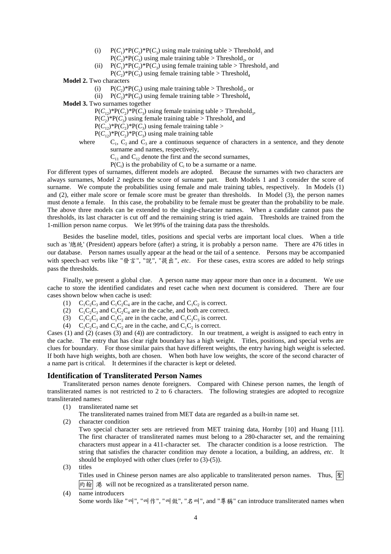- (i)  $P(C_1)^*P(C_2)^*P(C_3)$  using male training table > Threshold<sub>1</sub> and  $P(C_2)$ <sup>\*</sup> $P(C_3)$  using male training table > Threshold<sub>2</sub>, or
- (ii)  $P(C_1)^*P(C_2)^*P(C_3)$  using female training table > Threshold<sub>3</sub> and
	- $P(C_2)$ \*P(*C*<sub>3</sub>) using female training table > Threshold<sub>4</sub>

### **Model 2.** Two characters

- (i)  $P(C_2) * P(C_3)$  using male training table > Threshold., or
- (ii)  $P(C_2) * P(C_2)$  using female training table > Threshold<sub>4</sub>
- **Model 3.** Two surnames together

 $P(C_{12})^*P(C_2)^*P(C_3)$  using female training table > Threshold<sub>3</sub>,

 $P(C_2)$ <sup>\*</sup> $P(C_3)$  using female training table > Threshold<sub>4</sub> and

 $P(C_{12})^*P(C_2)^*P(C_3)$  using female training table >

- $P(C_{12})^*P(C_2)^*P(C_3)$  using male training table
- where C<sub>1</sub>, C<sub>2</sub> and C<sub>3</sub> are a continuous sequence of characters in a sentence, and they denote
	- surname and names, respectively,
		- $C_{11}$  and  $C_{12}$  denote the first and the second surnames,

 $P(C_i)$  is the probability of  $C_i$  to be a surname or a name.

For different types of surnames, different models are adopted. Because the surnames with two characters are always surnames, Model 2 neglects the score of surname part. Both Models 1 and 3 consider the score of surname. We compute the probabilities using female and male training tables, respectively. In Models (1) and (2), either male score or female score must be greater than thresholds. In Model (3), the person names must denote a female. In this case, the probability to be female must be greater than the probability to be male. The above three models can be extended to the single-character names. When a candidate cannot pass the thresholds, its last character is cut off and the remaining string is tried again. Thresholds are trained from the 1-million person name corpus. We let 99% of the training data pass the thresholds.

Besides the baseline model, titles, positions and special verbs are important local clues. When a title such as 'k' (President) appears before (after) a string, it is probably a person name. There are 476 titles in our database. Person names usually appear at the head or the tail of a sentence. Persons may be accompanied with speech-act verbs like "發言", "說", "提出", etc. For these cases, extra scores are added to help strings pass the thresholds.

Finally, we present a global clue. A person name may appear more than once in a document. We use cache to store the identified candidates and reset cache when next document is considered. There are four cases shown below when cache is used:

- (1)  $C_1C_2C_3$  and  $C_1C_2C_4$  are in the cache, and  $C_1C_2$  is correct.
- (2)  $C_1C_2C_3$  and  $C_1C_2C_4$  are in the cache, and both are correct.
- (3)  $C_1C_2C_3$  and  $C_1C_2$  are in the cache, and  $C_1C_2C_3$  is correct.
- (4)  $C_1C_2C_3$  and  $C_1C_2$  are in the cache, and  $C_1C_2$  is correct.

Cases (1) and (2) (cases (3) and (4)) are contradictory. In our treatment, a weight is assigned to each entry in the cache. The entry that has clear right boundary has a high weight. Titles, positions, and special verbs are clues for boundary. For those similar pairs that have different weights, the entry having high weight is selected. If both have high weights, both are chosen. When both have low weights, the score of the second character of a name part is critical. It determines if the character is kept or deleted.

## **Identification of Transliterated Person Names**

Transliterated person names denote foreigners. Compared with Chinese person names, the length of transliterated names is not restricted to 2 to 6 characters. The following strategies are adopted to recognize transliterated names:

- (1) transliterated name set
	- The transliterated names trained from MET data are regarded as a built-in name set.
- (2) character condition

Two special character sets are retrieved from MET training data, Hornby [10] and Huang [11]. The first character of transliterated names must belong to a 280-character set, and the remaining characters must appear in a 411-character set. The character condition is a loose restriction. The string that satisfies the character condition may denote a location, a building, an address, *etc*. It should be employed with other clues (refer to (3)-(5)).

(3) titles

Titles used in Chinese person names are also applicable to transliterated person names. Thus,  $\mathbb{E}$ |約翰| 港 will not be recognized as a transliterated person name.

(4) name introducers

Some words like "메", "메作", "메做", "名메", and "尊稱" can introduce transliterated names when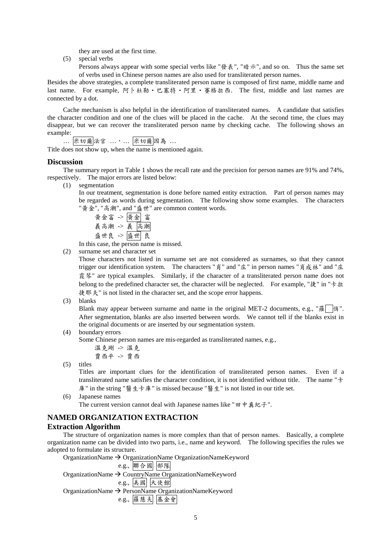they are used at the first time.

- (5) special verbs
	- Persons always appear with some special verbs like "發表", "暗示", and so on. Thus the same set of verbs used in Chinese person names are also used for transliterated person names.

Besides the above strategies, a complete transliterated person name is composed of first name, middle name and last name. For example, 阿卜杜勒·巴塞特·阿里·賽格拉西. The first, middle and last names are connected by a dot.

Cache mechanism is also helpful in the identification of transliterated names. A candidate that satisfies the character condition and one of the clues will be placed in the cache. At the second time, the clues may disappear, but we can recover the transliterated person name by checking cache. The following shows an example:

… 米切爾法官 …, … 米切爾因為 …

Title does not show up, when the name is mentioned again.

#### **Discussion**

The summary report in Table 1 shows the recall rate and the precision for person names are 91% and 74%, respectively. The major errors are listed below:

(1) segmentation

In our treatment, segmentation is done before named entity extraction. Part of person names may be regarded as words during segmentation. The following show some examples. The characters "黃金", "高潮", and "盛世" are common content words.

êÅ[ -> êÅ [ ÷&Á -> ÷ &Á g3 -> g 3

In this case, the person name is missed.

(2) surname set and character set

Those characters not listed in surname set are not considered as surnames, so that they cannot trigger our identification system. The characters "肖" and "庄" in person names "肖成林" and "庄 霞琴" are typical examples. Similarly, if the character of a transliterated person name does not belong to the predefined character set, the character will be neglected. For example, " $\frac{1}{k}$ " in " $\pm \frac{1}{k}$ " 捷耶夫" is not listed in the character set, and the scope error happens.

(3) blanks

Blank may appear between surname and name in the original MET-2 documents, e.g., " $\frac{m}{100}$  |  $\frac{m}{100}$ ". After segmentation, blanks are also inserted between words. We cannot tell if the blanks exist in the original documents or are inserted by our segmentation system.

(4) boundary errors

Some Chinese person names are mis-regarded as transliterated names, e.g.,

c -> c OBj -> OB

(5) titles

Titles are important clues for the identification of transliterated person names. Even if a transliterated name satisfies the character condition, it is not identified without title. The name " $\pm$ 庫" in the string "醫生卡庫" is missed because "醫生" is not listed in our title set.

(6) Japanese names

The current version cannot deal with Japanese names like " $\boxplus \nvdash$  #  $\&A$ .".

# **NAMED ORGANIZATION EXTRACTION**

#### **Extraction Algorithm**

The structure of organization names is more complex than that of person names. Basically, a complete organization name can be divided into two parts, i.e., name and keyword. The following specifies the rules we adopted to formulate its structure.

OrganizationName  $\rightarrow$  OrganizationName OrganizationNameKeyword

```
e.g., 聯合國 部隊
OrganizationName \rightarrow CountryName OrganizationNameKeyword
                 e.g., 美國 大使館
OrganizationName \rightarrow PersonName OrganizationNameKeyword
                 e.g., 羅慧夫 基金會
```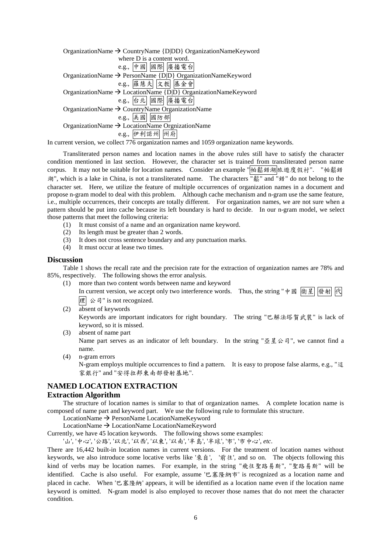| OrganizationName $\rightarrow$ CountryName {D DD} OrganizationNameKeyword |
|---------------------------------------------------------------------------|
| where D is a content word.                                                |
| e.g., 中國 國際 廣播電台                                                          |
| OrganizationName → PersonName {D D} OrganizationNameKeyword               |
| e.g., 羅慧夫 文教 基金會                                                          |
| OrganizationName $\rightarrow$ LocationName {D D} OrganizationNameKeyword |
| e.g., 台北 國際 廣播電台                                                          |
| OrganizationName $\rightarrow$ CountryName OrganizationName               |
| e.g., 美國 國防部                                                              |
| OrganizationName $\rightarrow$ LocationName OrgnizationName               |
| e.g., 伊利諾州 州府                                                             |
|                                                                           |

In current version, we collect 776 organization names and 1059 organization name keywords.

Transliterated person names and location names in the above rules still have to satisfy the character condition mentioned in last section. However, the character set is trained from transliterated person name corpus. It may not be suitable for location names. Consider an example "帕鬆錯湖旅遊度假村". "帕鬆錯 <sup>"</sup>湖", which is a lake in China, is not a transliterated name. The characters  $\frac{1}{k}$  and "錯" do not belong to the character set. Here, we utilize the feature of multiple occurrences of organization names in a document and propose n-gram model to deal with this problem. Although cache mechanism and n-gram use the same feature, i.e., multiple occurrences, their concepts are totally different. For organization names, we are not sure when a pattern should be put into cache because its left boundary is hard to decide. In our n-gram model, we select those patterns that meet the following criteria:

- (1) It must consist of a name and an organization name keyword.
- (2) Its length must be greater than 2 words.
- (3) It does not cross sentence boundary and any punctuation marks.
- (4) It must occur at lease two times.

#### **Discussion**

Table 1 shows the recall rate and the precision rate for the extraction of organization names are 78% and 85%, respectively. The following shows the error analysis.

- (1) more than two content words between name and keyword In current version, we accept only two interference words. Thus, the string " $\phi \boxtimes \left[\frac{1}{2} \times \frac{1}{2} \times \frac{1}{2} \times \frac{1}{2} \times \frac{1}{2} \times \frac{1}{2} \times \frac{1}{2} \times \frac{1}{2} \times \frac{1}{2} \times \frac{1}{2} \times \frac{1}{2} \times \frac{1}{2} \times \frac{1}{2} \times \frac{1}{2} \times \frac{1}{2} \times \$ 理 公司" is not recognized.
- (2) absent of keywords Keywords are important indicators for right boundary. The string "巴解法塔賀武裝" is lack of keyword, so it is missed.
- (3) absent of name part Name part serves as an indicator of left boundary. In the string " $\mathbb{Z} \nsubseteq \mathbb{Z} \triangle$  = 7", we cannot find a name.
- (4) n-gram errors

N-gram employs multiple occurrences to find a pattern. It is easy to propose false alarms, e.g., "這 家銀行" and "安得拉邦東南部發射基地".

# **NAMED LOCATION EXTRACTION**

### **Extraction Algorithm**

The structure of location names is similar to that of organization names. A complete location name is composed of name part and keyword part. We use the following rule to formulate this structure.

LocationName → PersonName LocationNameKeyword

LocationName  $\rightarrow$  LocationName LocationNameKeyword

Currently, we have 45 location keywords. The following shows some examples:

'山', '中心', '公路', '以北', '以西', '以東', '以南', '半島', '半球', '市', '市中心', etc.

There are 16,442 built-in location names in current versions. For the treatment of location names without keywords, we also introduce some locative verbs like '來自', '前往', and so on. The objects following this kind of verbs may be location names. For example, in the string "飛往聖路易斯", "聖路易斯" will be identified. Cache is also useful. For example, assume ' $\mathfrak{P}, \mathfrak{F} \otimes \mathfrak{F}$ ' is recognized as a location name and placed in cache. When '巴塞隆納' appears, it will be identified as a location name even if the location name keyword is omitted. N-gram model is also employed to recover those names that do not meet the character condition.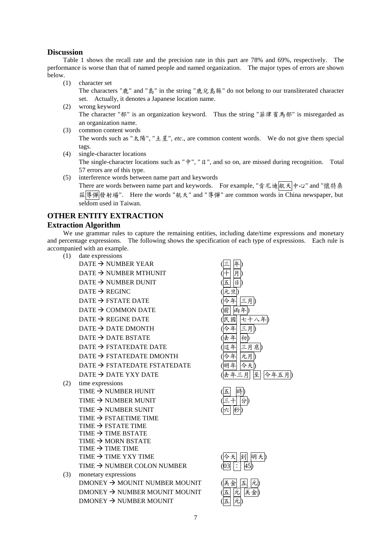## **Discussion**

Table 1 shows the recall rate and the precision rate in this part are 78% and 69%, respectively. The performance is worse than that of named people and named organization. The major types of errors are shown below.

(1) character set

The characters " $\bar{m}$ " and " $\bar{g}$ " in the string " $\bar{m}$ ,  $\bar{g}$ ,  $\bar{g}$ ,  $\bar{g}$ ,  $\bar{g}$ ,  $\bar{g}$ ,  $\bar{g}$  do not belong to our transliterated character set. Actually, it denotes a Japanese location name.

- (2) wrong keyword The character "部" is an organization keyword. Thus the string "菲律賓馬部" is misregarded as an organization name.
- (3) common content words The words such as " $\overline{\mathcal{R}}\mathcal{G}''$ , " $\pm \underline{\mathcal{I}}''$ , *etc.*, are common content words. We do not give them special tags.
- (4) single-character locations

The single-character locations such as " $\psi$ ", " $\theta$ ", and so on, are missed during recognition. Total 57 errors are of this type.

(5) interference words between name part and keywords

There are words between name part and keywords. For example, "肯尼迪航天中心" and "懷特桑 兹博彈機射場". Here the words "航天" and "導彈" are common words in China newspaper, but seldom used in Taiwan.

# **OTHER ENTITY EXTRACTION**

## **Extraction Algorithm**

We use grammar rules to capture the remaining entities, including date/time expressions and monetary and percentage expressions. The following shows the specification of each type of expressions. Each rule is accompanied with an example.

- (1) date expressions
	- $DATA \rightarrow NUMBER YEAR$  $\text{DATE} \rightarrow \text{NUMBER MTHUNIT}$  $\text{DATE} \rightarrow \text{NUMBER DUNIT}$  $\text{DATE} \rightarrow \text{REGINC}$  $\overline{DATE} \rightarrow \overline{FSTATE}$  DATE  $DATA \rightarrow$  COMMON DATE  $\text{DATE} \rightarrow \text{REGINE}\ \text{DATE}$  $DATA \rightarrow$  DATE DMONTH  $DATATE \rightarrow DATATE$  BSTATE  $\overline{DATE} \rightarrow \overline{FSTATE}$  DATE  $\text{DATE} \rightarrow \text{FSTATEDATE}$  DMONTH  $\text{DATE} \rightarrow \text{FSTATEDATE}$  FSTATEDATE  $DATE \rightarrow DATE YXY DATE$  (去年三月至今年五月)
- (2) time expressions
	- TIME  $\rightarrow$  NUMBER HUNIT TIME  $\rightarrow$  NUMBER MUNIT TIME  $\rightarrow$  NUMBER SUNIT TIME  $\rightarrow$  FSTAETIME TIME TIME  $\rightarrow$  FSTATE TIME TIME  $\rightarrow$  TIME BSTATE TIME  $\rightarrow$  MORN BSTATE TIME  $\rightarrow$  TIME TIME TIME  $\rightarrow$  TIME YXY TIME ( TIME  $\rightarrow$  NUMBER COLON NUMBER  $($
- (3) monetary expressions  $DMONEY \rightarrow MOUNIT$  NUMBER MOUNIT  $DMONEY \rightarrow NUMBER MOUNIT MOUNIT$  $DMONEY \rightarrow NIIMBER MOLINIT$

|    | D<br>. 月           |
|----|--------------------|
| 兩年 |                    |
| 臤  | .刍<br>D            |
| 年  |                    |
| £  |                    |
| 诘  | 底)                 |
|    |                    |
| E  |                    |
| 年  | Ξ<br>今年<br>五月<br>至 |
|    |                    |



|                 | ·天 到 明天) |    |  |
|-----------------|----------|----|--|
| $\overline{03}$ |          |    |  |
|                 |          |    |  |
| 美金 五            |          | 元) |  |

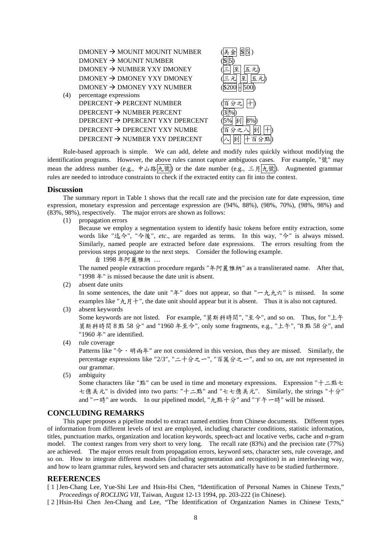

Rule-based approach is simple. We can add, delete and modify rules quickly without modifying the identification programs. However, the above rules cannot capture ambiguous cases. For example, " $\ddot{\mathcal{R}}$ " may mean the address number (e.g., 中山路九號) or the date number (e.g., 三月九號). Augmented grammar rules are needed to introduce constraints to check if the extracted entity can fit into the context.

### **Discussion**

The summary report in Table 1 shows that the recall rate and the precision rate for date expression, time expression, monetary expression and percentage expression are (94%, 88%), (98%, 70%), (98%, 98%) and (83%, 98%), respectively. The major errors are shown as follows:

(1) propagation errors

Because we employ a segmentation system to identify basic tokens before entity extraction, some words like "迄今", "今後", *etc.*, are regarded as terms. In this way, "今" is always missed. Similarly, named people are extracted before date expressions. The errors resulting from the previous steps propagate to the next steps. Consider the following example.

自 1998 年阿麗雅納 …

The named people extraction procedure regards "年阿麗雅納" as a transliterated name. After that, "1998  $#$ " is missed because the date unit is absent.

(2) absent date units

In some sentences, the date unit " $\#$ " does not appear, so that " $-\hbar \hbar \hbar \hat{\pi}$ " is missed. In some examples like " $\hbar$ ,  $H +$ ", the date unit should appear but it is absent. Thus it is also not captured.

- (3) absent keywords Some keywords are not listed. For example, "莫斯科時間", "至今", and so on. Thus, for "上午 莫斯科時間 8 點 58 分" and "1960 年至今", only some fragments, e.g., "上午", "8 點 58 分", and "1960 年" are identified.
- (4) rule coverage

Patterns like "今、明雨年" are not considered in this version, thus they are missed. Similarly, the percentage expressions like "2/3", " $=$   $+$   $\land$   $\geq$   $-$ ", " $\leq$   $\frac{3}{4}$  $\land$   $\geq$   $-$ ", and so on, are not represented in our grammar.

(5) ambiguity

Some characters like " $\mathbb{R}^n$ " can be used in time and monetary expressions. Expression " $\dagger \perp \mathbb{R}$  + 七億美元" is divided into two parts: "十二點" and "七七億美元". Similarly, the strings "十分" and "  $-\mathbb{R}^n$ " are words. In our pipelined model, " $\hbar$ ,點十分" and "下午一時" will be missed.

# **CONCLUDING REMARKS**

This paper proposes a pipeline model to extract named entities from Chinese documents. Different types of information from different levels of text are employed, including character conditions, statistic information, titles, punctuation marks, organization and location keywords, speech-act and locative verbs, cache and *n*-gram model. The context ranges from very short to very long. The recall rate (83%) and the precision rate (77%) are achieved. The major errors result from propagation errors, keyword sets, character sets, rule coverage, and so on. How to integrate different modules (including segmentation and recognition) in an interleaving way, and how to learn grammar rules, keyword sets and character sets automatically have to be studied furthermore.

## **REFERENCES**

[ 1 ] Jen-Chang Lee, Yue-Shi Lee and Hsin-Hsi Chen, "Identification of Personal Names in Chinese Texts," *Proceedings of ROCLING VII*, Taiwan, August 12-13 1994, pp. 203-222 (in Chinese).

[ 2 ] Hsin-Hsi Chen Jen-Chang and Lee, "The Identification of Organization Names in Chinese Texts,"